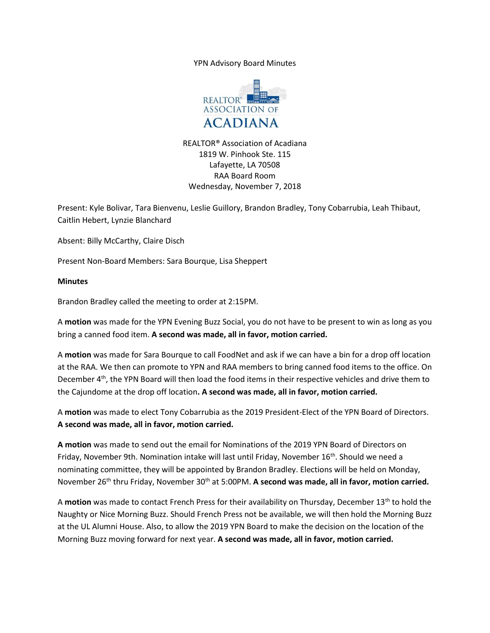YPN Advisory Board Minutes



REALTOR® Association of Acadiana 1819 W. Pinhook Ste. 115 Lafayette, LA 70508 RAA Board Room Wednesday, November 7, 2018

Present: Kyle Bolivar, Tara Bienvenu, Leslie Guillory, Brandon Bradley, Tony Cobarrubia, Leah Thibaut, Caitlin Hebert, Lynzie Blanchard

Absent: Billy McCarthy, Claire Disch

Present Non-Board Members: Sara Bourque, Lisa Sheppert

## **Minutes**

Brandon Bradley called the meeting to order at 2:15PM.

A **motion** was made for the YPN Evening Buzz Social, you do not have to be present to win as long as you bring a canned food item. **A second was made, all in favor, motion carried.**

A **motion** was made for Sara Bourque to call FoodNet and ask if we can have a bin for a drop off location at the RAA. We then can promote to YPN and RAA members to bring canned food items to the office. On December 4th, the YPN Board will then load the food items in their respective vehicles and drive them to the Cajundome at the drop off location**. A second was made, all in favor, motion carried.**

A **motion** was made to elect Tony Cobarrubia as the 2019 President-Elect of the YPN Board of Directors. **A second was made, all in favor, motion carried.** 

**A motion** was made to send out the email for Nominations of the 2019 YPN Board of Directors on Friday, November 9th. Nomination intake will last until Friday, November 16<sup>th</sup>. Should we need a nominating committee, they will be appointed by Brandon Bradley. Elections will be held on Monday, November 26<sup>th</sup> thru Friday, November 30<sup>th</sup> at 5:00PM. A second was made, all in favor, motion carried.

A **motion** was made to contact French Press for their availability on Thursday, December 13th to hold the Naughty or Nice Morning Buzz. Should French Press not be available, we will then hold the Morning Buzz at the UL Alumni House. Also, to allow the 2019 YPN Board to make the decision on the location of the Morning Buzz moving forward for next year. **A second was made, all in favor, motion carried.**